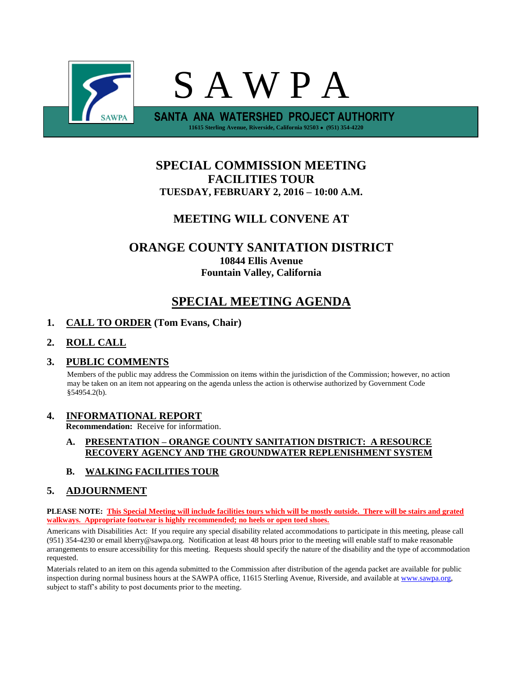

# **SPECIAL COMMISSION MEETING FACILITIES TOUR TUESDAY, FEBRUARY 2, 2016 – 10:00 A.M.**

# **MEETING WILL CONVENE AT**

## **ORANGE COUNTY SANITATION DISTRICT 10844 Ellis Avenue Fountain Valley, California**

# **SPECIAL MEETING AGENDA**

## **1. CALL TO ORDER (Tom Evans, Chair)**

## **2. ROLL CALL**

## **3. PUBLIC COMMENTS**

Members of the public may address the Commission on items within the jurisdiction of the Commission; however, no action may be taken on an item not appearing on the agenda unless the action is otherwise authorized by Government Code §54954.2(b).

#### **4. INFORMATIONAL REPORT**

**Recommendation:** Receive for information.

#### **A. PRESENTATION – ORANGE COUNTY SANITATION DISTRICT: A RESOURCE RECOVERY AGENCY AND THE GROUNDWATER REPLENISHMENT SYSTEM**

#### **B. WALKING FACILITIES TOUR**

#### **5. ADJOURNMENT**

**PLEASE NOTE: This Special Meeting will include facilities tours which will be mostly outside. There will be stairs and grated walkways. Appropriate footwear is highly recommended; no heels or open toed shoes.**

Americans with Disabilities Act: If you require any special disability related accommodations to participate in this meeting, please call (951) 354-4230 or email kberry@sawpa.org. Notification at least 48 hours prior to the meeting will enable staff to make reasonable arrangements to ensure accessibility for this meeting. Requests should specify the nature of the disability and the type of accommodation requested.

Materials related to an item on this agenda submitted to the Commission after distribution of the agenda packet are available for public inspection during normal business hours at the SAWPA office, 11615 Sterling Avenue, Riverside, and available a[t www.sawpa.org,](http://www.sawpa.org/) subject to staff's ability to post documents prior to the meeting.